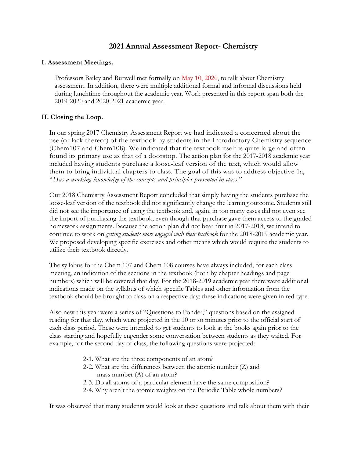# **2021 Annual Assessment Report- Chemistry**

#### **I. Assessment Meetings.**

Professors Bailey and Burwell met formally on May 10, 2020, to talk about Chemistry assessment. In addition, there were multiple additional formal and informal discussions held during lunchtime throughout the academic year. Work presented in this report span both the 2019-2020 and 2020-2021 academic year.

# **II. Closing the Loop.**

In our spring 2017 Chemistry Assessment Report we had indicated a concerned about the use (or lack thereof) of the textbook by students in the Introductory Chemistry sequence (Chem107 and Chem108). We indicated that the textbook itself is quite large and often found its primary use as that of a doorstop. The action plan for the 2017-2018 academic year included having students purchase a loose-leaf version of the text, which would allow them to bring individual chapters to class. The goal of this was to address objective 1a, "*Has a working knowledge of the concepts and principles presented in class*."

Our 2018 Chemistry Assessment Report concluded that simply having the students purchase the loose-leaf version of the textbook did not significantly change the learning outcome. Students still did not see the importance of using the textbook and, again, in too many cases did not even see the import of purchasing the textbook, even though that purchase gave them access to the graded homework assignments. Because the action plan did not bear fruit in 2017-2018, we intend to continue to work on *getting students more engaged with their textbook* for the 2018-2019 academic year. We proposed developing specific exercises and other means which would require the students to utilize their textbook directly.

The syllabus for the Chem 107 and Chem 108 courses have always included, for each class meeting, an indication of the sections in the textbook (both by chapter headings and page numbers) which will be covered that day. For the 2018-2019 academic year there were additional indications made on the syllabus of which specific Tables and other information from the textbook should be brought to class on a respective day; these indications were given in red type.

Also new this year were a series of "Questions to Ponder," questions based on the assigned reading for that day, which were projected in the 10 or so minutes prior to the official start of each class period. These were intended to get students to look at the books again prior to the class starting and hopefully engender some conversation between students as they waited. For example, for the second day of class, the following questions were projected:

- 2-1. What are the three components of an atom?
- 2-2. What are the differences between the atomic number (Z) and mass number (A) of an atom?
- 2-3. Do all atoms of a particular element have the same composition?
- 2-4. Why aren't the atomic weights on the Periodic Table whole numbers?

It was observed that many students would look at these questions and talk about them with their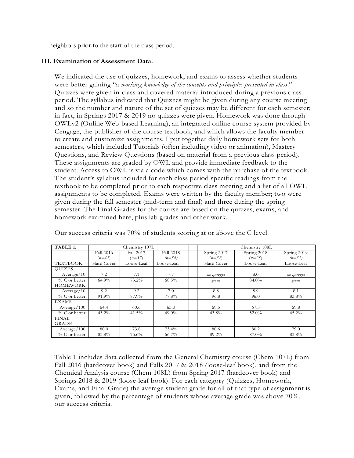neighbors prior to the start of the class period.

# **III. Examination of Assessment Data.**

We indicated the use of quizzes, homework, and exams to assess whether students were better gaining "a *working knowledge of the concepts and principles presented in class*." Quizzes were given in-class and covered material introduced during a previous class period. The syllabus indicated that Quizzes might be given during any course meeting and so the number and nature of the set of quizzes may be different for each semester; in fact, in Springs 2017 & 2019 no quizzes were given. Homework was done through OWLv2 (Online Web-based Learning), an integrated online course system provided by Cengage, the publisher of the course textbook, and which allows the faculty member to create and customize assignments. I put together daily homework sets for both semesters, which included Tutorials (often including video or animation), Mastery Questions, and Review Questions (based on material from a previous class period). These assignments are graded by OWL and provide immediate feedback to the student. Access to OWL is via a code which comes with the purchase of the textbook. The student's syllabus included for each class period specific readings from the textbook to be completed prior to each respective class meeting and a list of all OWL assignments to be completed. Exams were written by the faculty member; two were given during the fall semester (mid-term and final) and three during the spring semester. The Final Grades for the course are based on the quizzes, exams, and homework examined here, plus lab grades and other work.

| TABLE 1.               | Chemistry 107L        |                       |                              | Chemistry 108L          |                         |                         |
|------------------------|-----------------------|-----------------------|------------------------------|-------------------------|-------------------------|-------------------------|
|                        | Fall 2016<br>$(n=41)$ | Fall 2017<br>$(n=37)$ | <b>Fall 2018</b><br>$(n=54)$ | Spring 2017<br>$(n=32)$ | Spring 2018<br>$(n=25)$ | Spring 2019<br>$(n=31)$ |
| <b>TEXTBOOK</b>        | Hard Cover            | Loose-Leaf            | Loose-Leaf                   | Hard Cover              | Loose-Leaf              | Loose-Leaf              |
| <b>OUIZES</b>          |                       |                       |                              |                         |                         |                         |
| Average/10             | 7.2                   | 7.1                   | 7.7                          | no quizzes              | 8.0                     | no quizzes              |
| $\%$ C or better       | 64.9%                 | 73.2%                 | $68.5\%$                     | given                   | 84.0%                   | given                   |
| <b>HOMEWORK</b>        |                       |                       |                              |                         |                         |                         |
| Average/10             | 9.2                   | 9.2                   | 7.0                          | 8.8                     | 8.9                     | 8.1                     |
| $% C$ or better        | 91.9%                 | 87.9%                 | 77.8%                        | 96.8                    | 96.0                    | 83.8%                   |
| <b>EXAMS</b>           |                       |                       |                              |                         |                         |                         |
| Average / 100          | 64.4                  | 60.6                  | 63.0                         | 69.5                    | 67.5                    | 69.8                    |
| $\%$ C or better       | $43.2\%$              | 41.5%                 | $49.0\%$                     | 43.8%                   | $52.0\%$                | $45.2\%$                |
| FINAL.<br><b>GRADE</b> |                       |                       |                              |                         |                         |                         |
| Average / 100          | 80.0                  | 73.8                  | 73.4%                        | 80.6                    | 80.2                    | 79.0                    |
| $\%$ C or better       | 83.8%                 | 75.6%                 | 66.7%                        | 89.2%                   | 87.0%                   | 83.8%                   |

Our success criteria was 70% of students scoring at or above the C level.

Table 1 includes data collected from the General Chemistry course (Chem 107L) from Fall 2016 (hardcover book) and Falls 2017 & 2018 (loose-leaf book), and from the Chemical Analysis course (Chem 108L) from Spring 2017 (hardcover book) and Springs 2018 & 2019 (loose-leaf book). For each category (Quizzes, Homework, Exams, and Final Grade) the average student grade for all of that type of assignment is given, followed by the percentage of students whose average grade was above 70%, our success criteria.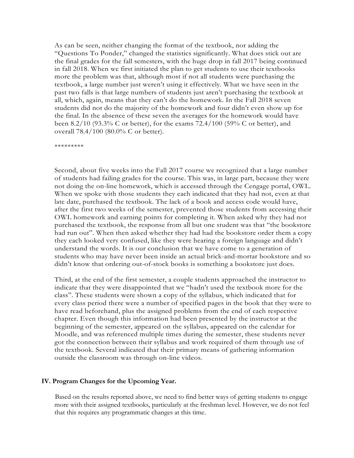As can be seen, neither changing the format of the textbook, nor adding the "Questions To Ponder," changed the statistics significantly. What does stick out are the final grades for the fall semesters, with the huge drop in fall 2017 being continued in fall 2018. When we first initiated the plan to get students to use their textbooks more the problem was that, although most if not all students were purchasing the textbook, a large number just weren't using it effectively. What we have seen in the past two falls is that large numbers of students just aren't purchasing the textbook at all, which, again, means that they can't do the homework. In the Fall 2018 seven students did not do the majority of the homework and four didn't even show up for the final. In the absence of these seven the averages for the homework would have been 8.2/10 (93.3% C or better), for the exams 72.4/100 (59% C or better), and overall 78.4/100 (80.0% C or better).

\*\*\*\*\*\*\*\*\*

Second, about five weeks into the Fall 2017 course we recognized that a large number of students had failing grades for the course. This was, in large part, because they were not doing the on-line homework, which is accessed through the Cengage portal, OWL. When we spoke with those students they each indicated that they had not, even at that late date, purchased the textbook. The lack of a book and access code would have, after the first two weeks of the semester, prevented those students from accessing their OWL homework and earning points for completing it. When asked why they had not purchased the textbook, the response from all but one student was that "the bookstore had run out". When then asked whether they had had the bookstore order them a copy they each looked very confused, like they were hearing a foreign language and didn't understand the words. It is our conclusion that we have come to a generation of students who may have never been inside an actual brick-and-mortar bookstore and so didn't know that ordering out-of-stock books is something a bookstore just does.

Third, at the end of the first semester, a couple students approached the instructor to indicate that they were disappointed that we "hadn't used the textbook more for the class". These students were shown a copy of the syllabus, which indicated that for every class period there were a number of specified pages in the book that they were to have read beforehand, plus the assigned problems from the end of each respective chapter. Even though this information had been presented by the instructor at the beginning of the semester, appeared on the syllabus, appeared on the calendar for Moodle, and was referenced multiple times during the semester, these students never got the connection between their syllabus and work required of them through use of the textbook. Several indicated that their primary means of gathering information outside the classroom was through on-line videos.

#### **IV. Program Changes for the Upcoming Year.**

Based on the results reported above, we need to find better ways of getting students to engage more with their assigned textbooks, particularly at the freshman level. However, we do not feel that this requires any programmatic changes at this time.